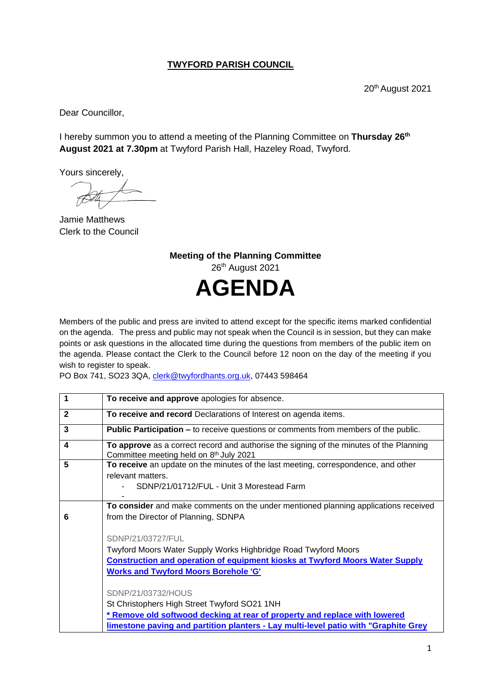## **TWYFORD PARISH COUNCIL**

20th August 2021

Dear Councillor,

I hereby summon you to attend a meeting of the Planning Committee on **Thursday 26th August 2021 at 7.30pm** at Twyford Parish Hall, Hazeley Road, Twyford.

Yours sincerely,

Jamie Matthews Clerk to the Council

**Meeting of the Planning Committee** 26<sup>th</sup> August 2021 **AGENDA**

Members of the public and press are invited to attend except for the specific items marked confidential on the agenda. The press and public may not speak when the Council is in session, but they can make points or ask questions in the allocated time during the questions from members of the public item on the agenda. Please contact the Clerk to the Council before 12 noon on the day of the meeting if you wish to register to speak.

PO Box 741, SO23 3QA, [clerk@twyfordhants.org.uk,](mailto:clerk@twyfordhants.org.uk) 07443 598464

| 1            | To receive and approve apologies for absence.                                                                                      |
|--------------|------------------------------------------------------------------------------------------------------------------------------------|
| $\mathbf{2}$ | To receive and record Declarations of Interest on agenda items.                                                                    |
| 3            | <b>Public Participation –</b> to receive questions or comments from members of the public.                                         |
| 4            | To approve as a correct record and authorise the signing of the minutes of the Planning<br>Committee meeting held on 8th July 2021 |
| 5            | To receive an update on the minutes of the last meeting, correspondence, and other                                                 |
|              | relevant matters.                                                                                                                  |
|              | SDNP/21/01712/FUL - Unit 3 Morestead Farm                                                                                          |
|              | To consider and make comments on the under mentioned planning applications received                                                |
| 6            | from the Director of Planning, SDNPA                                                                                               |
|              |                                                                                                                                    |
|              | SDNP/21/03727/FUL                                                                                                                  |
|              | Twyford Moors Water Supply Works Highbridge Road Twyford Moors                                                                     |
|              | <b>Construction and operation of equipment kiosks at Twyford Moors Water Supply</b>                                                |
|              | <b>Works and Twyford Moors Borehole 'G'</b>                                                                                        |
|              |                                                                                                                                    |
|              | SDNP/21/03732/HOUS                                                                                                                 |
|              | St Christophers High Street Twyford SO21 1NH                                                                                       |
|              | <u>* Remove old softwood decking at rear of property and replace with lowered</u>                                                  |
|              | limestone paving and partition planters - Lay multi-level patio with "Graphite Grey                                                |